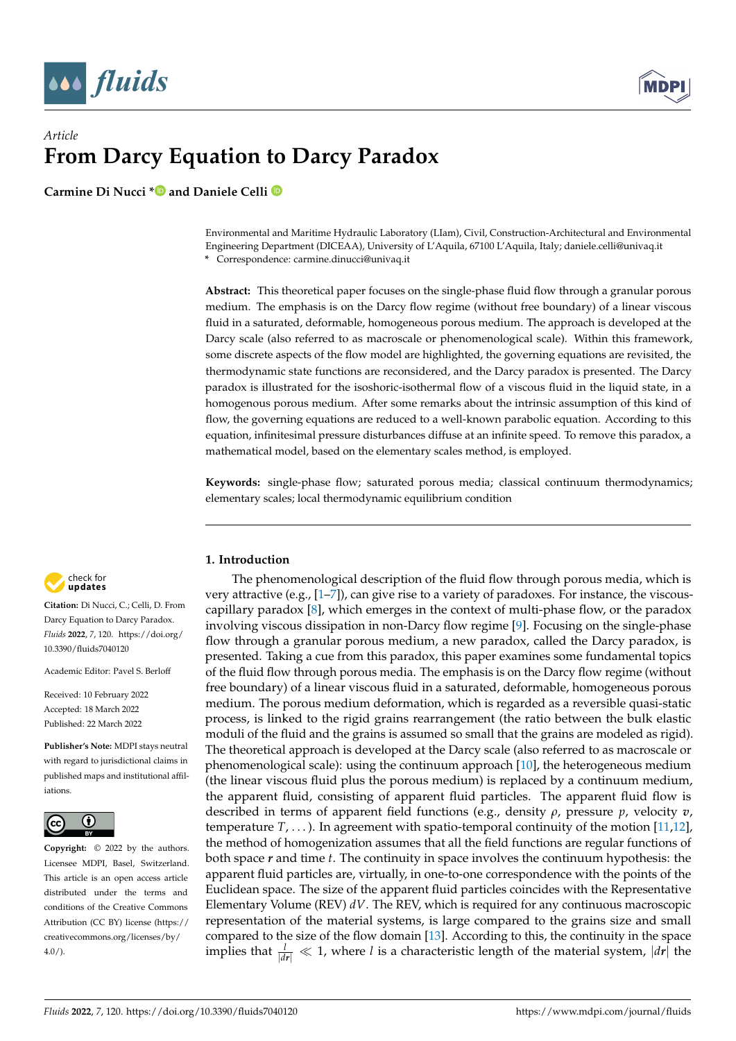



# *Article* **From Darcy Equation to Darcy Paradox**

**Carmine Di Nucci [\\*](https://orcid.org/0000-0002-2524-3602) and Daniele Celli**

Environmental and Maritime Hydraulic Laboratory (LIam), Civil, Construction-Architectural and Environmental Engineering Department (DICEAA), University of L'Aquila, 67100 L'Aquila, Italy; daniele.celli@univaq.it **\*** Correspondence: carmine.dinucci@univaq.it

**Abstract:** This theoretical paper focuses on the single-phase fluid flow through a granular porous medium. The emphasis is on the Darcy flow regime (without free boundary) of a linear viscous fluid in a saturated, deformable, homogeneous porous medium. The approach is developed at the Darcy scale (also referred to as macroscale or phenomenological scale). Within this framework, some discrete aspects of the flow model are highlighted, the governing equations are revisited, the thermodynamic state functions are reconsidered, and the Darcy paradox is presented. The Darcy paradox is illustrated for the isoshoric-isothermal flow of a viscous fluid in the liquid state, in a homogenous porous medium. After some remarks about the intrinsic assumption of this kind of flow, the governing equations are reduced to a well-known parabolic equation. According to this equation, infinitesimal pressure disturbances diffuse at an infinite speed. To remove this paradox, a mathematical model, based on the elementary scales method, is employed.

**Keywords:** single-phase flow; saturated porous media; classical continuum thermodynamics; elementary scales; local thermodynamic equilibrium condition

#### check for updates

**Citation:** Di Nucci, C.; Celli, D. From Darcy Equation to Darcy Paradox. *Fluids* **2022**, *7*, 120. [https://doi.org/](https://doi.org/10.3390/fluids7040120) [10.3390/fluids7040120](https://doi.org/10.3390/fluids7040120)

Academic Editor: Pavel S. Berloff

Received: 10 February 2022 Accepted: 18 March 2022 Published: 22 March 2022

**Publisher's Note:** MDPI stays neutral with regard to jurisdictional claims in published maps and institutional affiliations.



**Copyright:** © 2022 by the authors. Licensee MDPI, Basel, Switzerland. This article is an open access article distributed under the terms and conditions of the Creative Commons Attribution (CC BY) license [\(https://](https://creativecommons.org/licenses/by/4.0/) [creativecommons.org/licenses/by/](https://creativecommons.org/licenses/by/4.0/)  $4.0/$ ).

# **1. Introduction**

The phenomenological description of the fluid flow through porous media, which is very attractive (e.g., [\[1](#page-10-0)[–7\]](#page-10-1)), can give rise to a variety of paradoxes. For instance, the viscouscapillary paradox [\[8\]](#page-10-2), which emerges in the context of multi-phase flow, or the paradox involving viscous dissipation in non-Darcy flow regime [\[9\]](#page-10-3). Focusing on the single-phase flow through a granular porous medium, a new paradox, called the Darcy paradox, is presented. Taking a cue from this paradox, this paper examines some fundamental topics of the fluid flow through porous media. The emphasis is on the Darcy flow regime (without free boundary) of a linear viscous fluid in a saturated, deformable, homogeneous porous medium. The porous medium deformation, which is regarded as a reversible quasi-static process, is linked to the rigid grains rearrangement (the ratio between the bulk elastic moduli of the fluid and the grains is assumed so small that the grains are modeled as rigid). The theoretical approach is developed at the Darcy scale (also referred to as macroscale or phenomenological scale): using the continuum approach [\[10\]](#page-10-4), the heterogeneous medium (the linear viscous fluid plus the porous medium) is replaced by a continuum medium, the apparent fluid, consisting of apparent fluid particles. The apparent fluid flow is described in terms of apparent field functions (e.g., density *ρ*, pressure *p*, velocity *v*, temperature *T*, . . . ). In agreement with spatio-temporal continuity of the motion [\[11,](#page-10-5)[12\]](#page-10-6), the method of homogenization assumes that all the field functions are regular functions of both space *r* and time *t*. The continuity in space involves the continuum hypothesis: the apparent fluid particles are, virtually, in one-to-one correspondence with the points of the Euclidean space. The size of the apparent fluid particles coincides with the Representative Elementary Volume (REV) *dV*. The REV, which is required for any continuous macroscopic representation of the material systems, is large compared to the grains size and small compared to the size of the flow domain [\[13\]](#page-10-7). According to this, the continuity in the space implies that  $\frac{l}{|dr|} \ll 1$ , where *l* is a characteristic length of the material system,  $|dr|$  the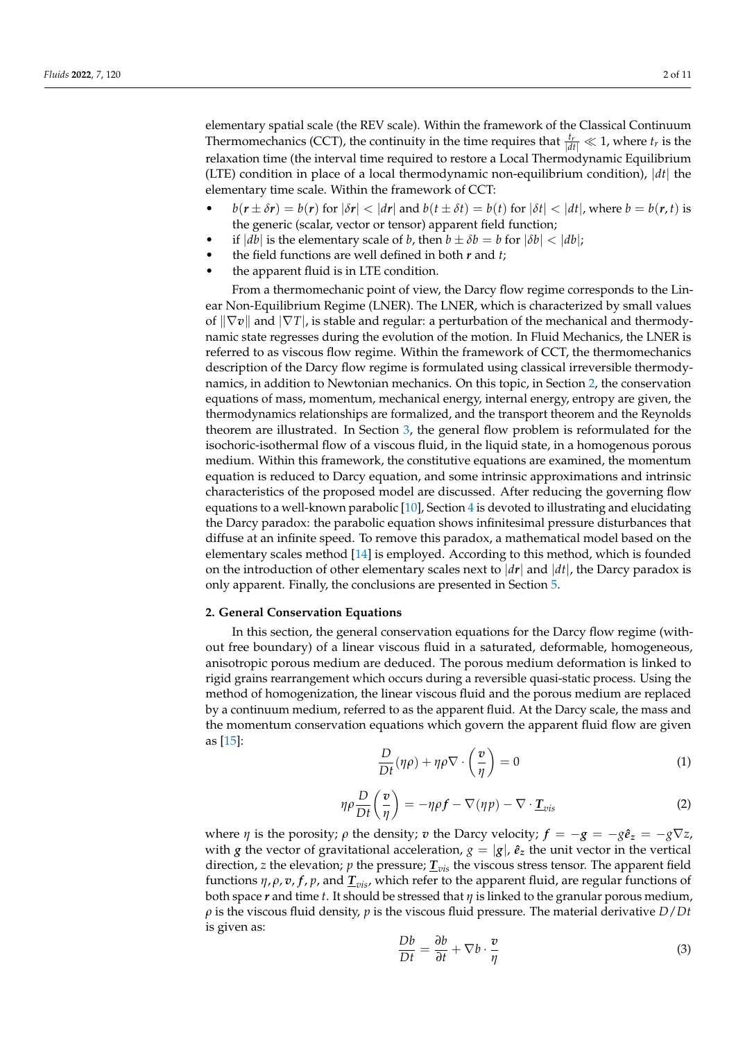elementary spatial scale (the REV scale). Within the framework of the Classical Continuum Thermomechanics (CCT), the continuity in the time requires that  $\frac{t_r}{|dt|} \ll 1$ , where  $t_r$  is the relaxation time (the interval time required to restore a Local Thermodynamic Equilibrium (LTE) condition in place of a local thermodynamic non-equilibrium condition), |*dt*| the elementary time scale. Within the framework of CCT:

- $b(r \pm \delta r) = b(r)$  for  $|\delta r| < |dr|$  and  $b(t \pm \delta t) = b(t)$  for  $|\delta t| < |dt|$ , where  $b = b(r, t)$  is the generic (scalar, vector or tensor) apparent field function;
- if  $|db|$  is the elementary scale of *b*, then  $b \pm \delta b = b$  for  $|\delta b| < |db|$ ;
- the field functions are well defined in both *r* and *t*;
- the apparent fluid is in LTE condition.

From a thermomechanic point of view, the Darcy flow regime corresponds to the Linear Non-Equilibrium Regime (LNER). The LNER, which is characterized by small values of  $\|\nabla v\|$  and  $|\nabla T|$ , is stable and regular: a perturbation of the mechanical and thermodynamic state regresses during the evolution of the motion. In Fluid Mechanics, the LNER is referred to as viscous flow regime. Within the framework of CCT, the thermomechanics description of the Darcy flow regime is formulated using classical irreversible thermodynamics, in addition to Newtonian mechanics. On this topic, in Section [2,](#page-1-0) the conservation equations of mass, momentum, mechanical energy, internal energy, entropy are given, the thermodynamics relationships are formalized, and the transport theorem and the Reynolds theorem are illustrated. In Section [3,](#page-6-0) the general flow problem is reformulated for the isochoric-isothermal flow of a viscous fluid, in the liquid state, in a homogenous porous medium. Within this framework, the constitutive equations are examined, the momentum equation is reduced to Darcy equation, and some intrinsic approximations and intrinsic characteristics of the proposed model are discussed. After reducing the governing flow equations to a well-known parabolic [\[10\]](#page-10-4), Section [4](#page-7-0) is devoted to illustrating and elucidating the Darcy paradox: the parabolic equation shows infinitesimal pressure disturbances that diffuse at an infinite speed. To remove this paradox, a mathematical model based on the elementary scales method [\[14\]](#page-10-8) is employed. According to this method, which is founded on the introduction of other elementary scales next to  $|dr|$  and  $|dt|$ , the Darcy paradox is only apparent. Finally, the conclusions are presented in Section [5.](#page-9-0)

## <span id="page-1-0"></span>**2. General Conservation Equations**

In this section, the general conservation equations for the Darcy flow regime (without free boundary) of a linear viscous fluid in a saturated, deformable, homogeneous, anisotropic porous medium are deduced. The porous medium deformation is linked to rigid grains rearrangement which occurs during a reversible quasi-static process. Using the method of homogenization, the linear viscous fluid and the porous medium are replaced by a continuum medium, referred to as the apparent fluid. At the Darcy scale, the mass and the momentum conservation equations which govern the apparent fluid flow are given as [\[15\]](#page-10-9):

<span id="page-1-1"></span>
$$
\frac{D}{Dt}(\eta \rho) + \eta \rho \nabla \cdot \left(\frac{v}{\eta}\right) = 0 \tag{1}
$$

<span id="page-1-3"></span>
$$
\eta \rho \frac{D}{Dt} \left( \frac{v}{\eta} \right) = -\eta \rho f - \nabla (\eta p) - \nabla \cdot \underline{T}_{vis}
$$
\n(2)

where *η* is the porosity; *ρ* the density; *v* the Darcy velocity;  $f = -g = -g\hat{e}_z = -g\nabla z$ , with *g* the vector of gravitational acceleration,  $g = |g|$ ,  $\hat{e}_z$  the unit vector in the vertical direction, *z* the elevation; *p* the pressure; *Tvis* the viscous stress tensor. The apparent field functions *η*, *ρ*, *v*, *f*, *p*, and *Tvis*, which refer to the apparent fluid, are regular functions of both space  $r$  and time  $t$ . It should be stressed that  $\eta$  is linked to the granular porous medium, *ρ* is the viscous fluid density, *p* is the viscous fluid pressure. The material derivative *D*/*Dt* is given as:

<span id="page-1-2"></span>
$$
\frac{Db}{Dt} = \frac{\partial b}{\partial t} + \nabla b \cdot \frac{v}{\eta}
$$
 (3)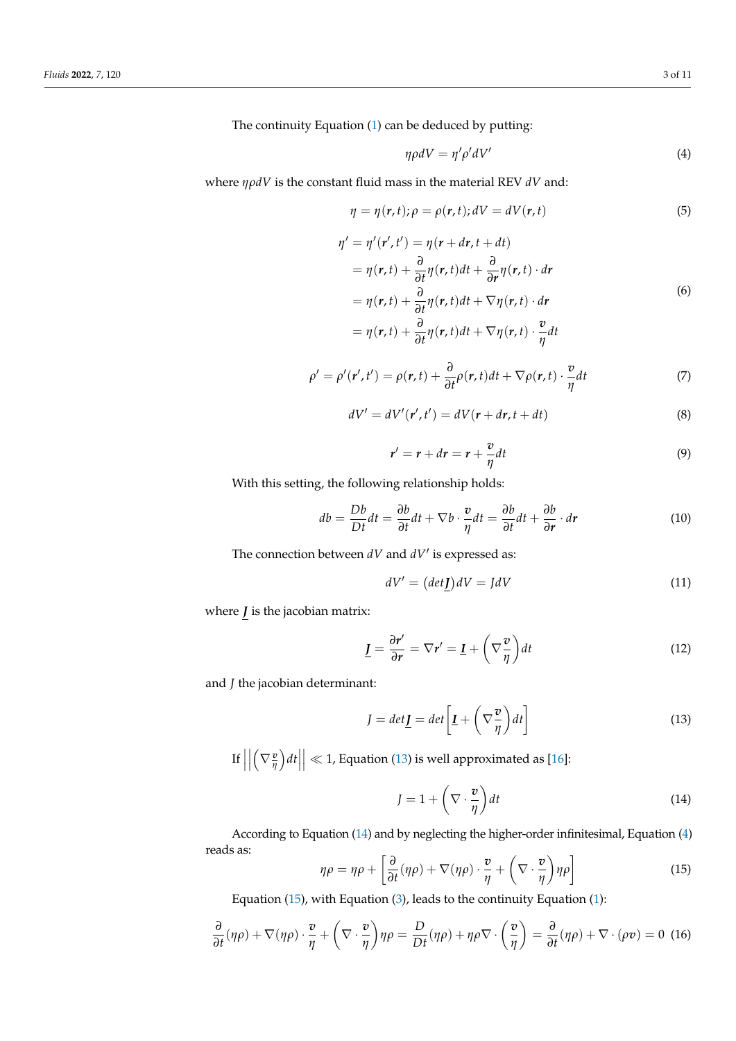The continuity Equation [\(1\)](#page-1-1) can be deduced by putting:

<span id="page-2-2"></span>
$$
\eta \rho dV = \eta' \rho' dV' \tag{4}
$$

where *ηρdV* is the constant fluid mass in the material REV *dV* and:

$$
\eta = \eta(r, t); \rho = \rho(r, t); dV = dV(r, t)
$$
\n(5)

$$
\eta' = \eta'(r', t') = \eta(r + dr, t + dt)
$$
  
\n
$$
= \eta(r, t) + \frac{\partial}{\partial t}\eta(r, t)dt + \frac{\partial}{\partial r}\eta(r, t) \cdot dr
$$
  
\n
$$
= \eta(r, t) + \frac{\partial}{\partial t}\eta(r, t)dt + \nabla \eta(r, t) \cdot dr
$$
  
\n
$$
= \eta(r, t) + \frac{\partial}{\partial t}\eta(r, t)dt + \nabla \eta(r, t) \cdot \frac{v}{\eta}dt
$$
\n(6)

$$
\rho' = \rho'(r', t') = \rho(r, t) + \frac{\partial}{\partial t}\rho(r, t)dt + \nabla\rho(r, t) \cdot \frac{v}{\eta}dt
$$
\n(7)

$$
dV' = dV'(\mathbf{r}', t') = dV(\mathbf{r} + d\mathbf{r}, t + dt)
$$
\n(8)

$$
r' = r + dr = r + \frac{v}{\eta}dt
$$
\n(9)

With this setting, the following relationship holds:

<span id="page-2-4"></span>
$$
db = \frac{Db}{Dt}dt = \frac{\partial b}{\partial t}dt + \nabla b \cdot \frac{v}{\eta}dt = \frac{\partial b}{\partial t}dt + \frac{\partial b}{\partial r} \cdot dr \qquad (10)
$$

The connection between  $dV$  and  $dV'$  is expressed as:

$$
dV' = (det \mathbf{J})dV = JdV \tag{11}
$$

where  $J$  is the jacobian matrix:

$$
\underline{I} = \frac{\partial r'}{\partial r} = \nabla r' = \underline{I} + \left(\nabla \frac{v}{\eta}\right) dt \tag{12}
$$

and *J* the jacobian determinant:

<span id="page-2-0"></span>
$$
J = det \underline{I} = det \left[ \underline{I} + \left( \nabla \frac{v}{\eta} \right) dt \right]
$$
 (13)

 $\left| \begin{matrix} 1 \end{matrix} \right|$  $\begin{array}{c} \n\end{array}$  $\left(\nabla \frac{\mathbf{v}}{\eta}\right)dt$  $\vert \ll 1$ , Equation [\(13\)](#page-2-0) is well approximated as [\[16\]](#page-10-10):

<span id="page-2-1"></span>
$$
J = 1 + \left(\nabla \cdot \frac{\boldsymbol{v}}{\eta}\right) dt \tag{14}
$$

According to Equation [\(14\)](#page-2-1) and by neglecting the higher-order infinitesimal, Equation [\(4\)](#page-2-2) reads as:  $\overline{r}$  $\ddot{\phantom{a}}$ 

<span id="page-2-3"></span>
$$
\eta \rho = \eta \rho + \left[ \frac{\partial}{\partial t} (\eta \rho) + \nabla (\eta \rho) \cdot \frac{\boldsymbol{v}}{\eta} + \left( \nabla \cdot \frac{\boldsymbol{v}}{\eta} \right) \eta \rho \right]
$$
(15)

Equation [\(15\)](#page-2-3), with Equation [\(3\)](#page-1-2), leads to the continuity Equation [\(1\)](#page-1-1):

$$
\frac{\partial}{\partial t}(\eta\rho) + \nabla(\eta\rho) \cdot \frac{\nu}{\eta} + \left(\nabla \cdot \frac{\nu}{\eta}\right) \eta\rho = \frac{D}{Dt}(\eta\rho) + \eta\rho\nabla \cdot \left(\frac{\nu}{\eta}\right) = \frac{\partial}{\partial t}(\eta\rho) + \nabla \cdot (\rho v) = 0 \tag{16}
$$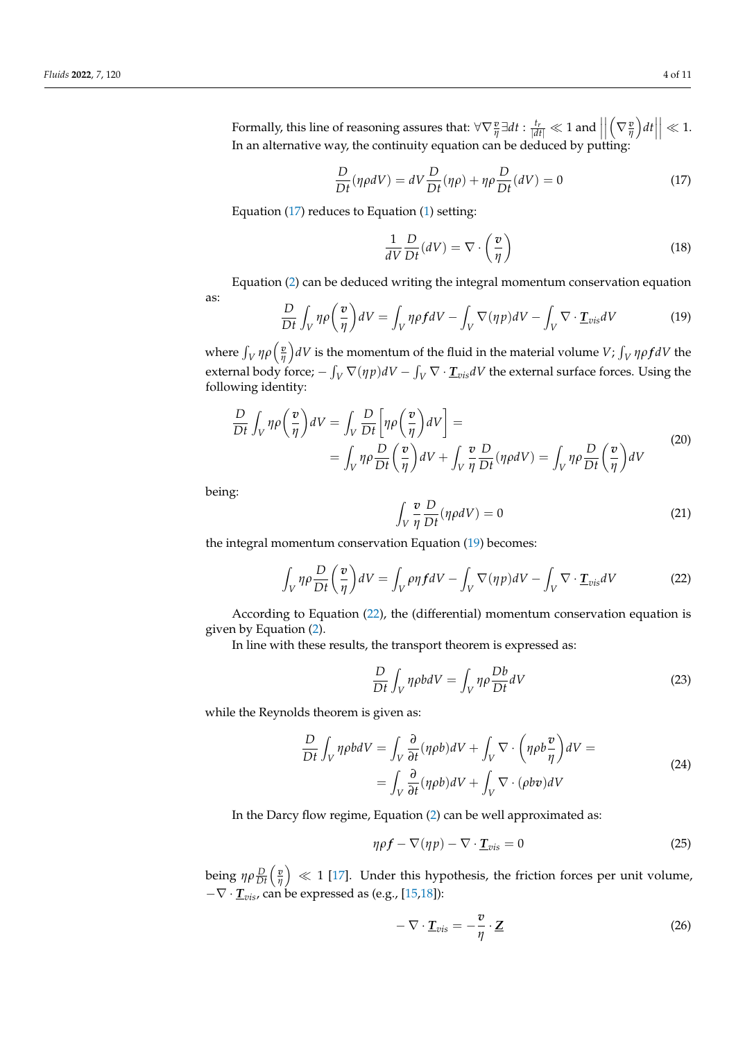Formally, this line of reasoning assures that:  $\forall \nabla \frac{v}{\eta} \exists dt : \frac{t_r}{|dt|} \ll 1$  and  $\left| \frac{d}{dt} \right| \ll 1$  $\begin{array}{c} \hline \end{array}$  $\left(\nabla \frac{\mathbf{v}}{\eta}\right)dt$  $\Big|\ll 1.$ In an alternative way, the continuity equation can be deduced by putting:

<span id="page-3-0"></span>
$$
\frac{D}{Dt}(\eta \rho dV) = dV \frac{D}{Dt}(\eta \rho) + \eta \rho \frac{D}{Dt}(dV) = 0
$$
\n(17)

Equation [\(17\)](#page-3-0) reduces to Equation [\(1\)](#page-1-1) setting:

$$
\frac{1}{dV}\frac{D}{Dt}(dV) = \nabla \cdot \left(\frac{v}{\eta}\right) \tag{18}
$$

Equation [\(2\)](#page-1-3) can be deduced writing the integral momentum conservation equation

as:

<span id="page-3-1"></span>
$$
\frac{D}{Dt} \int_V \eta \rho \left(\frac{v}{\eta}\right) dV = \int_V \eta \rho f dV - \int_V \nabla(\eta p) dV - \int_V \nabla \cdot \underline{\mathbf{T}}_{vis} dV \tag{19}
$$

where  $\int_V \eta \rho \left(\frac{v}{\eta}\right)$  $\frac{v}{\eta}$ ) *dV* is the momentum of the fluid in the material volume *V*;  $\int_V \eta \rho f dV$  the external body force;  $-\int_V \nabla(\eta p) dV - \int_V \nabla \cdot \underline{T}_{vis} dV$  the external surface forces. Using the following identity:

$$
\frac{D}{Dt} \int_{V} \eta \rho \left(\frac{v}{\eta}\right) dV = \int_{V} \frac{D}{Dt} \left[\eta \rho \left(\frac{v}{\eta}\right) dV\right] =
$$
\n
$$
= \int_{V} \eta \rho \frac{D}{Dt} \left(\frac{v}{\eta}\right) dV + \int_{V} \frac{v}{\eta} \frac{D}{Dt} (\eta \rho dV) = \int_{V} \eta \rho \frac{D}{Dt} \left(\frac{v}{\eta}\right) dV \tag{20}
$$

being:

$$
\int_{V} \frac{v}{\eta} \frac{D}{Dt} (\eta \rho dV) = 0
$$
\n(21)

the integral momentum conservation Equation [\(19\)](#page-3-1) becomes:

<span id="page-3-2"></span>
$$
\int_{V} \eta \rho \frac{D}{Dt} \left( \frac{v}{\eta} \right) dV = \int_{V} \rho \eta f dV - \int_{V} \nabla (\eta p) dV - \int_{V} \nabla \cdot \underline{\mathbf{T}}_{vis} dV \tag{22}
$$

According to Equation [\(22\)](#page-3-2), the (differential) momentum conservation equation is given by Equation [\(2\)](#page-1-3).

In line with these results, the transport theorem is expressed as:

$$
\frac{D}{Dt} \int_{V} \eta \rho b dV = \int_{V} \eta \rho \frac{Db}{Dt} dV \tag{23}
$$

while the Reynolds theorem is given as:

$$
\frac{D}{Dt} \int_{V} \eta \rho b dV = \int_{V} \frac{\partial}{\partial t} (\eta \rho b) dV + \int_{V} \nabla \cdot \left( \eta \rho b \frac{\mathbf{v}}{\eta} \right) dV =
$$
\n
$$
= \int_{V} \frac{\partial}{\partial t} (\eta \rho b) dV + \int_{V} \nabla \cdot (\rho b \mathbf{v}) dV
$$
\n(24)

In the Darcy flow regime, Equation [\(2\)](#page-1-3) can be well approximated as:

$$
\eta \rho f - \nabla (\eta p) - \nabla \cdot \underline{T}_{vis} = 0 \tag{25}
$$

being  $η\rho \frac{D}{Dt} \Big( \frac{v}{η}$  $\left(\frac{p}{\eta}\right) \ll 1$  [\[17\]](#page-10-11). Under this hypothesis, the friction forces per unit volume, −∇ · *Tvis*, can be expressed as (e.g., [\[15](#page-10-9)[,18\]](#page-10-12)):

<span id="page-3-3"></span>
$$
-\nabla \cdot \underline{T}_{vis} = -\frac{v}{\eta} \cdot \underline{Z}
$$
 (26)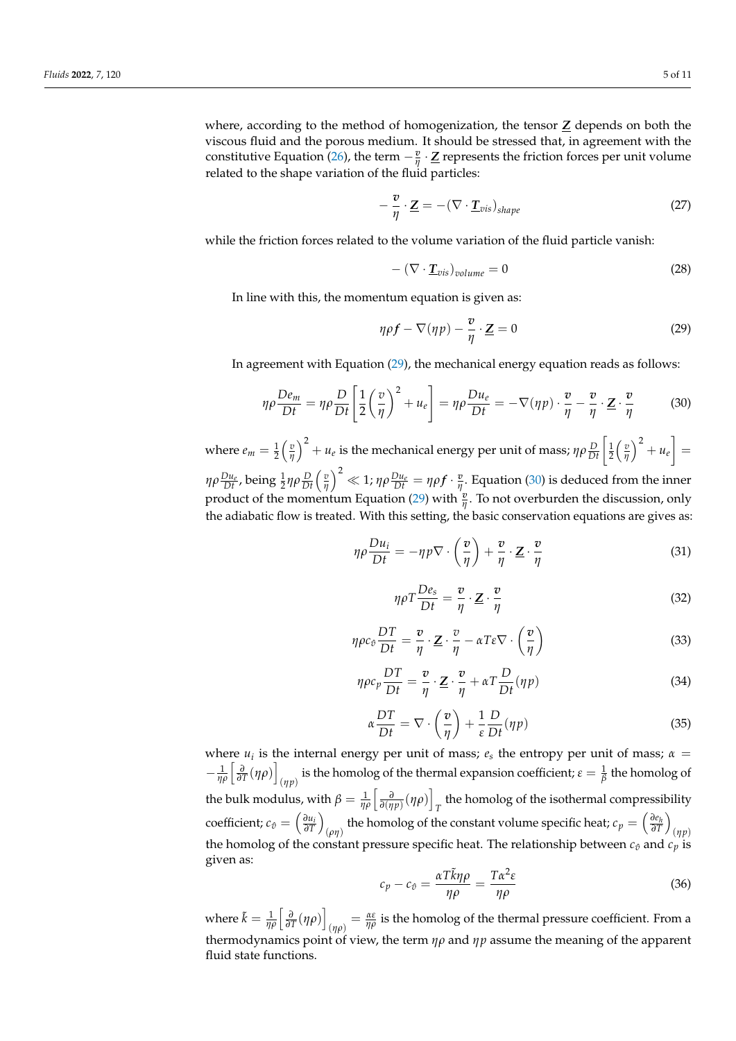where, according to the method of homogenization, the tensor  $Z$  depends on both the viscous fluid and the porous medium. It should be stressed that, in agreement with the constitutive Equation [\(26\)](#page-3-3), the term  $-\frac{v}{\eta} \cdot \underline{Z}$  represents the friction forces per unit volume related to the shape variation of the fluid particles:

$$
-\frac{v}{\eta} \cdot \underline{\mathbf{Z}} = -(\nabla \cdot \underline{\mathbf{T}}_{vis})_{shape}
$$
 (27)

while the friction forces related to the volume variation of the fluid particle vanish:

$$
-(\nabla \cdot \underline{T}_{vis})_{volume} = 0 \tag{28}
$$

In line with this, the momentum equation is given as:

<span id="page-4-0"></span>
$$
\eta \rho f - \nabla(\eta p) - \frac{v}{\eta} \cdot \underline{\mathbf{Z}} = 0 \tag{29}
$$

In agreement with Equation [\(29\)](#page-4-0), the mechanical energy equation reads as follows:

<span id="page-4-1"></span>
$$
\eta \rho \frac{De_m}{Dt} = \eta \rho \frac{D}{Dt} \left[ \frac{1}{2} \left( \frac{v}{\eta} \right)^2 + u_e \right] = \eta \rho \frac{Du_e}{Dt} = -\nabla(\eta p) \cdot \frac{v}{\eta} - \frac{v}{\eta} \cdot \underline{Z} \cdot \frac{v}{\eta}
$$
(30)

where  $e_m = \frac{1}{2} \left( \frac{v}{\eta} \right)$  $\left(\frac{v}{\eta}\right)^2 + u_e$  is the mechanical energy per unit of mass;  $ηρ\frac{D}{Dt}$   $\left[ \frac{1}{2} \left( \frac{v}{\eta} \right) \right]$  $\left(\frac{v}{\eta}\right)^2 + u_e =$ *ηρ* $\frac{Du_e}{Dt}$ *,* being  $\frac{1}{2}$ ηρ $\frac{D}{Dt}$   $\left(\frac{v}{\eta}\right)$  $\left(\frac{v}{\eta}\right)^2\ll 1$ ;  $\eta\rho\frac{Du_e}{Dt}=\eta\rho f\cdot\frac{v}{\eta}$  $\frac{v}{\eta}$ . Equation [\(30\)](#page-4-1) is deduced from the inner product of the momentum Equation [\(29\)](#page-4-0) with  $\frac{v}{\eta}$ . To not overburden the discussion, only the adiabatic flow is treated. With this setting, the basic conservation equations are gives as:

$$
\eta \rho \frac{D u_i}{D t} = -\eta p \nabla \cdot \left(\frac{v}{\eta}\right) + \frac{v}{\eta} \cdot \mathbf{Z} \cdot \frac{v}{\eta}
$$
(31)

<span id="page-4-5"></span>
$$
\eta \rho T \frac{De_s}{Dt} = \frac{v}{\eta} \cdot \underline{Z} \cdot \frac{v}{\eta}
$$
 (32)

<span id="page-4-3"></span>
$$
\eta \rho c_{\hat{v}} \frac{DT}{Dt} = \frac{v}{\eta} \cdot \underline{Z} \cdot \frac{v}{\eta} - \alpha T \varepsilon \nabla \cdot \left(\frac{v}{\eta}\right)
$$
(33)

<span id="page-4-4"></span>
$$
\eta \rho c_p \frac{DT}{Dt} = \frac{v}{\eta} \cdot \underline{Z} \cdot \frac{v}{\eta} + \alpha T \frac{D}{Dt} (\eta p) \tag{34}
$$

<span id="page-4-2"></span>
$$
\alpha \frac{DT}{Dt} = \nabla \cdot \left(\frac{\boldsymbol{v}}{\eta}\right) + \frac{1}{\varepsilon} \frac{D}{Dt} (\eta p) \tag{35}
$$

where  $u_i$  is the internal energy per unit of mass;  $e_s$  the entropy per unit of mass;  $\alpha =$  $-\frac{1}{\eta\rho} \left[ \frac{\partial}{\partial T} (\eta \rho) \right]$ is the homolog of the thermal expansion coefficient;  $\varepsilon = \frac{1}{\beta}$  the homolog of the bulk modulus, with  $\beta = \frac{1}{\eta \rho} \left[ \frac{\partial}{\partial (\eta p)} (\eta \rho) \right]$ the homolog of the isothermal compressibility  $T$  $\text{coefficient: } c_{\hat{v}} = \left(\frac{\partial u_i}{\partial T}\right)$  $\setminus$ (*ρη*) the homolog of the constant volume specific heat;  $c_p = \left(\frac{\partial e_h}{\partial T}\right)$  $\setminus$ (*ηp*) the homolog of the constant pressure specific heat. The relationship between  $c_{\hat{v}}$  and  $c_p$  is given as:

$$
c_p - c_\theta = \frac{\alpha T \tilde{k} \eta \rho}{\eta \rho} = \frac{T \alpha^2 \varepsilon}{\eta \rho}
$$
\n(36)

where  $\tilde{k} = \frac{1}{\eta \rho} \left[ \frac{\partial}{\partial T} (\eta \rho) \right]$  $\sigma_{(\eta\rho)} = \frac{\alpha \varepsilon}{\eta \rho}$  is the homolog of the thermal pressure coefficient. From a thermodynamics point of view, the term *ηρ* and *ηp* assume the meaning of the apparent fluid state functions.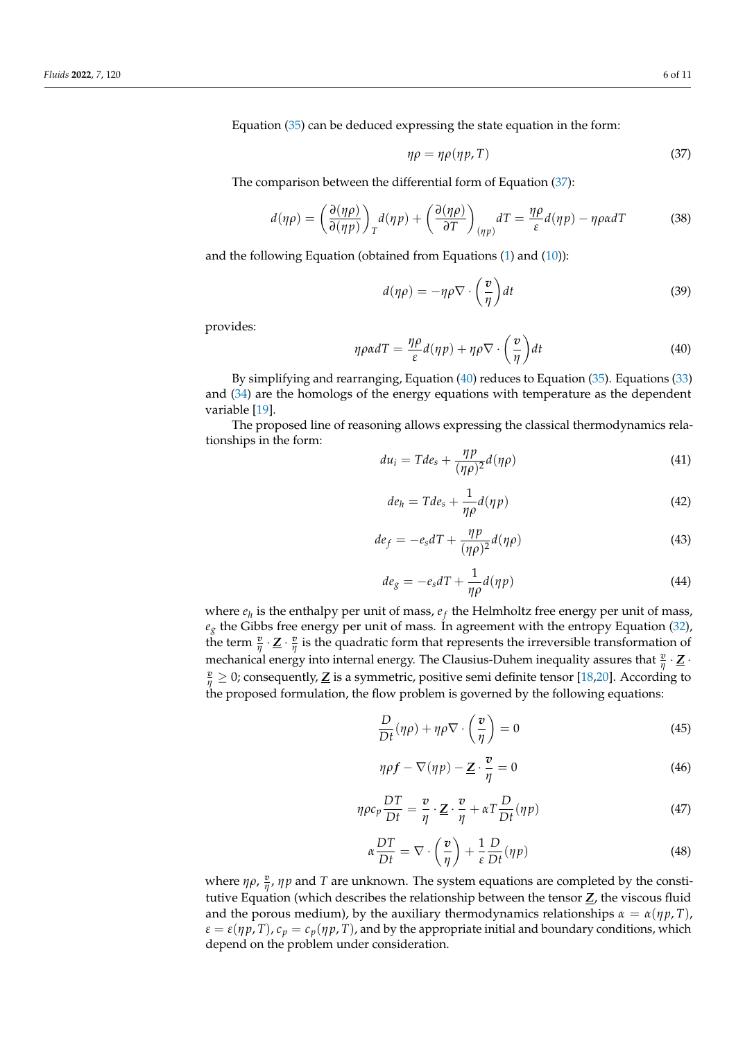Equation [\(35\)](#page-4-2) can be deduced expressing the state equation in the form:

<span id="page-5-0"></span>
$$
\eta \rho = \eta \rho(\eta p, T) \tag{37}
$$

The comparison between the differential form of Equation [\(37\)](#page-5-0):

$$
d(\eta \rho) = \left(\frac{\partial(\eta \rho)}{\partial(\eta p)}\right)_T d(\eta p) + \left(\frac{\partial(\eta \rho)}{\partial T}\right)_{(\eta p)} dT = \frac{\eta \rho}{\varepsilon} d(\eta p) - \eta \rho \alpha dT \tag{38}
$$

and the following Equation (obtained from Equations [\(1\)](#page-1-1) and [\(10\)](#page-2-4)):

$$
d(\eta \rho) = -\eta \rho \nabla \cdot \left(\frac{v}{\eta}\right) dt \tag{39}
$$

provides:

<span id="page-5-1"></span>
$$
\eta \rho \alpha dT = \frac{\eta \rho}{\varepsilon} d(\eta p) + \eta \rho \nabla \cdot \left(\frac{v}{\eta}\right) dt \tag{40}
$$

By simplifying and rearranging, Equation [\(40\)](#page-5-1) reduces to Equation [\(35\)](#page-4-2). Equations [\(33\)](#page-4-3) and [\(34\)](#page-4-4) are the homologs of the energy equations with temperature as the dependent variable [\[19\]](#page-10-13).

The proposed line of reasoning allows expressing the classical thermodynamics relationships in the form:

$$
du_i = Tde_s + \frac{\eta p}{(\eta \rho)^2} d(\eta \rho)
$$
\n(41)

$$
de_h = Tde_s + \frac{1}{\eta \rho} d(\eta p) \tag{42}
$$

$$
de_f = -e_s dT + \frac{\eta p}{(\eta \rho)^2} d(\eta \rho)
$$
\n(43)

$$
de_g = -e_s dT + \frac{1}{\eta \rho} d(\eta p) \tag{44}
$$

where  $e_h$  is the enthalpy per unit of mass,  $e_f$  the Helmholtz free energy per unit of mass,  $e_g$  the Gibbs free energy per unit of mass. In agreement with the entropy Equation [\(32\)](#page-4-5), the term  $\frac{v}{\eta} \cdot \underline{Z} \cdot \frac{v}{\eta}$  $\frac{v}{\eta}$  is the quadratic form that represents the irreversible transformation of mechanical energy into internal energy. The Clausius-Duhem inequality assures that  $\frac{v}{\eta} \cdot \underline{Z}$  $\frac{v}{\eta} \geq 0$ ; consequently,  $\underline{Z}$  is a symmetric, positive semi definite tensor [\[18,](#page-10-12)[20\]](#page-10-14). According to the proposed formulation, the flow problem is governed by the following equations:

<span id="page-5-2"></span>
$$
\frac{D}{Dt}(\eta \rho) + \eta \rho \nabla \cdot \left(\frac{v}{\eta}\right) = 0\tag{45}
$$

<span id="page-5-4"></span>
$$
\eta \rho f - \nabla(\eta p) - \underline{Z} \cdot \frac{v}{\eta} = 0 \tag{46}
$$

$$
\eta \rho c_p \frac{DT}{Dt} = \frac{\boldsymbol{v}}{\eta} \cdot \underline{\boldsymbol{Z}} \cdot \frac{\boldsymbol{v}}{\eta} + \alpha T \frac{D}{Dt} (\eta p) \tag{47}
$$

<span id="page-5-3"></span>
$$
\alpha \frac{DT}{Dt} = \nabla \cdot \left(\frac{\mathbf{v}}{\eta}\right) + \frac{1}{\varepsilon} \frac{D}{Dt} (\eta p) \tag{48}
$$

where  $\eta \rho$ ,  $\frac{v}{n}$ *η* , *ηp* and *T* are unknown. The system equations are completed by the constitutive Equation (which describes the relationship between the tensor *Z*, the viscous fluid and the porous medium), by the auxiliary thermodynamics relationships  $\alpha = \alpha(\eta p, T)$ ,  $\varepsilon = \varepsilon(\eta p, T)$ ,  $c_p = c_p(\eta p, T)$ , and by the appropriate initial and boundary conditions, which depend on the problem under consideration.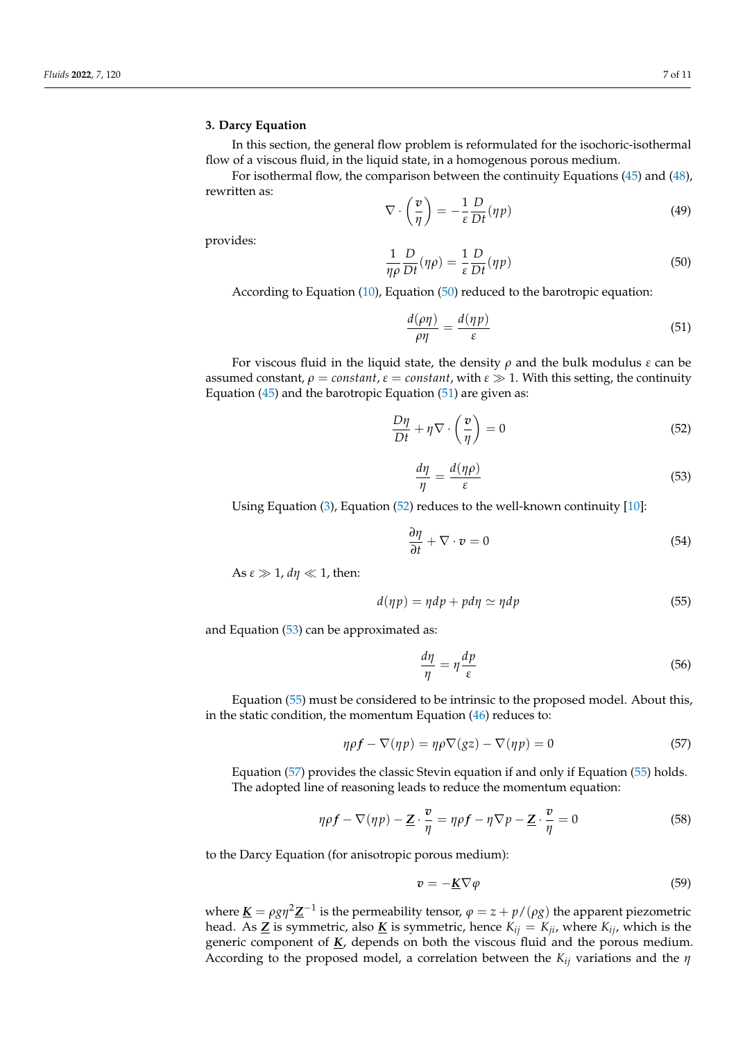#### <span id="page-6-0"></span>**3. Darcy Equation**

In this section, the general flow problem is reformulated for the isochoric-isothermal flow of a viscous fluid, in the liquid state, in a homogenous porous medium.

For isothermal flow, the comparison between the continuity Equations [\(45\)](#page-5-2) and [\(48\)](#page-5-3), rewritten as:

$$
\nabla \cdot \left(\frac{v}{\eta}\right) = -\frac{1}{\varepsilon} \frac{D}{Dt} (\eta p) \tag{49}
$$

provides:

<span id="page-6-1"></span>
$$
\frac{1}{\eta \rho} \frac{D}{Dt}(\eta \rho) = \frac{1}{\varepsilon} \frac{D}{Dt}(\eta p) \tag{50}
$$

According to Equation [\(10\)](#page-2-4), Equation [\(50\)](#page-6-1) reduced to the barotropic equation:

<span id="page-6-2"></span>
$$
\frac{d(\rho\eta)}{\rho\eta} = \frac{d(\eta p)}{\varepsilon} \tag{51}
$$

For viscous fluid in the liquid state, the density *ρ* and the bulk modulus *ε* can be assumed constant,  $\rho = constant$ ,  $\varepsilon = constant$ , with  $\varepsilon \gg 1$ . With this setting, the continuity Equation  $(45)$  and the barotropic Equation  $(51)$  are given as:

<span id="page-6-3"></span>
$$
\frac{D\eta}{Dt} + \eta \nabla \cdot \left(\frac{v}{\eta}\right) = 0\tag{52}
$$

<span id="page-6-4"></span>
$$
\frac{d\eta}{\eta} = \frac{d(\eta\rho)}{\varepsilon} \tag{53}
$$

Using Equation [\(3\)](#page-1-2), Equation [\(52\)](#page-6-3) reduces to the well-known continuity [\[10\]](#page-10-4):

$$
\frac{\partial \eta}{\partial t} + \nabla \cdot \mathbf{v} = 0 \tag{54}
$$

As  $ε \gg 1$ ,  $dη \ll 1$ , then:

<span id="page-6-5"></span>
$$
d(\eta p) = \eta dp + p d\eta \simeq \eta dp \tag{55}
$$

and Equation [\(53\)](#page-6-4) can be approximated as:

$$
\frac{d\eta}{\eta} = \eta \frac{dp}{\varepsilon} \tag{56}
$$

Equation [\(55\)](#page-6-5) must be considered to be intrinsic to the proposed model. About this, in the static condition, the momentum Equation [\(46\)](#page-5-4) reduces to:

<span id="page-6-6"></span>
$$
\eta \rho f - \nabla(\eta p) = \eta \rho \nabla(gz) - \nabla(\eta p) = 0 \tag{57}
$$

Equation [\(57\)](#page-6-6) provides the classic Stevin equation if and only if Equation [\(55\)](#page-6-5) holds. The adopted line of reasoning leads to reduce the momentum equation:

$$
\eta \rho f - \nabla(\eta p) - \underline{Z} \cdot \frac{v}{\eta} = \eta \rho f - \eta \nabla p - \underline{Z} \cdot \frac{v}{\eta} = 0 \tag{58}
$$

to the Darcy Equation (for anisotropic porous medium):

<span id="page-6-7"></span>
$$
v = -\underline{K}\nabla\varphi\tag{59}
$$

where  $\underline{\bm{K}}=\rho g \eta^2 \underline{\bm{Z}}^{-1}$  is the permeability tensor,  $\varphi=z+p/(\rho g)$  the apparent piezometric head. As  $\underline{Z}$  is symmetric, also  $\underline{K}$  is symmetric, hence  $K_{ij} = K_{ji}$ , where  $K_{ij}$ , which is the generic component of *K*, depends on both the viscous fluid and the porous medium. According to the proposed model, a correlation between the *Kij* variations and the *η*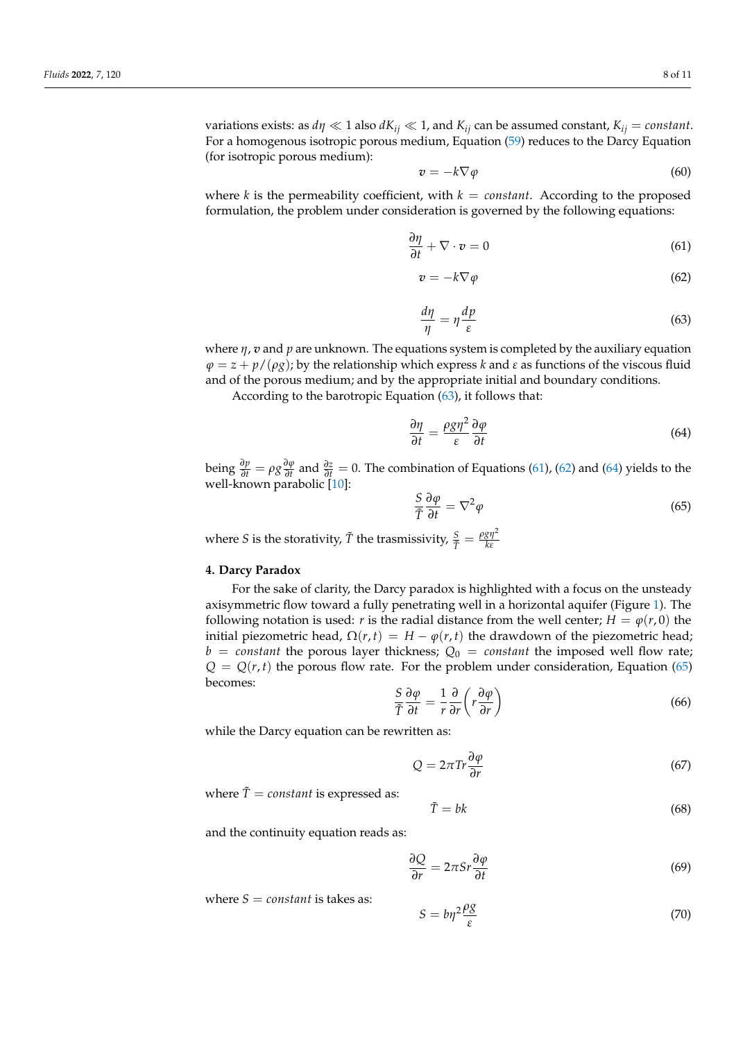variations exists: as  $d\eta \ll 1$  also  $dK_{ij} \ll 1$ , and  $K_{ij}$  can be assumed constant,  $K_{ij} = constant$ . For a homogenous isotropic porous medium, Equation [\(59\)](#page-6-7) reduces to the Darcy Equation (for isotropic porous medium):

$$
v = -k \nabla \varphi \tag{60}
$$

where  $k$  is the permeability coefficient, with  $k = constant$ . According to the proposed formulation, the problem under consideration is governed by the following equations:

<span id="page-7-2"></span>
$$
\frac{\partial \eta}{\partial t} + \nabla \cdot \mathbf{v} = 0 \tag{61}
$$

<span id="page-7-3"></span>
$$
v = -k \nabla \varphi \tag{62}
$$

<span id="page-7-1"></span>
$$
\frac{d\eta}{\eta} = \eta \frac{dp}{\varepsilon} \tag{63}
$$

where *η*, *v* and *p* are unknown. The equations system is completed by the auxiliary equation  $\varphi = z + p/(\rho g)$ ; by the relationship which express *k* and *ε* as functions of the viscous fluid and of the porous medium; and by the appropriate initial and boundary conditions.

According to the barotropic Equation [\(63\)](#page-7-1), it follows that:

<span id="page-7-4"></span>
$$
\frac{\partial \eta}{\partial t} = \frac{\rho g \eta^2}{\varepsilon} \frac{\partial \varphi}{\partial t}
$$
(64)

 $\frac{\partial p}{\partial t} = \rho g \frac{\partial \varphi}{\partial t}$ *∂*<sup>*φ*</sup><sub>∂</sub>*t*</sup> and  $\frac{\partial z}{\partial t}$  = 0. The combination of Equations [\(61\)](#page-7-2), [\(62\)](#page-7-3) and [\(64\)](#page-7-4) yields to the well-known parabolic [\[10\]](#page-10-4):

<span id="page-7-5"></span>
$$
\frac{S}{\tilde{T}}\frac{\partial \varphi}{\partial t} = \nabla^2 \varphi \tag{65}
$$

where *S* is the storativity,  $\tilde{T}$  the trasmissivity,  $\frac{S}{\tilde{T}} = \frac{\rho g \eta^2}{k \epsilon}$ *kε*

### <span id="page-7-0"></span>**4. Darcy Paradox**

For the sake of clarity, the Darcy paradox is highlighted with a focus on the unsteady axisymmetric flow toward a fully penetrating well in a horizontal aquifer (Figure [1\)](#page-8-0). The following notation is used: *r* is the radial distance from the well center;  $H = \varphi(r, 0)$  the initial piezometric head,  $Ω(r, t) = H - φ(r, t)$  the drawdown of the piezometric head;  $b = constant$  the porous layer thickness;  $Q_0 = constant$  the imposed well flow rate;  $Q = Q(r, t)$  the porous flow rate. For the problem under consideration, Equation [\(65\)](#page-7-5) becomes:

<span id="page-7-7"></span>
$$
\frac{S}{\tilde{T}}\frac{\partial\varphi}{\partial t} = \frac{1}{r}\frac{\partial}{\partial r}\left(r\frac{\partial\varphi}{\partial r}\right)
$$
(66)

while the Darcy equation can be rewritten as:

<span id="page-7-6"></span>
$$
Q = 2\pi \text{Tr} \frac{\partial \varphi}{\partial r} \tag{67}
$$

where  $\tilde{T} = constant$  is expressed as:

$$
\tilde{T} = bk \tag{68}
$$

and the continuity equation reads as:

$$
\frac{\partial Q}{\partial r} = 2\pi S r \frac{\partial \varphi}{\partial t}
$$
 (69)

where  $S = constant$  is takes as:

$$
S = b\eta^2 \frac{\rho g}{\varepsilon} \tag{70}
$$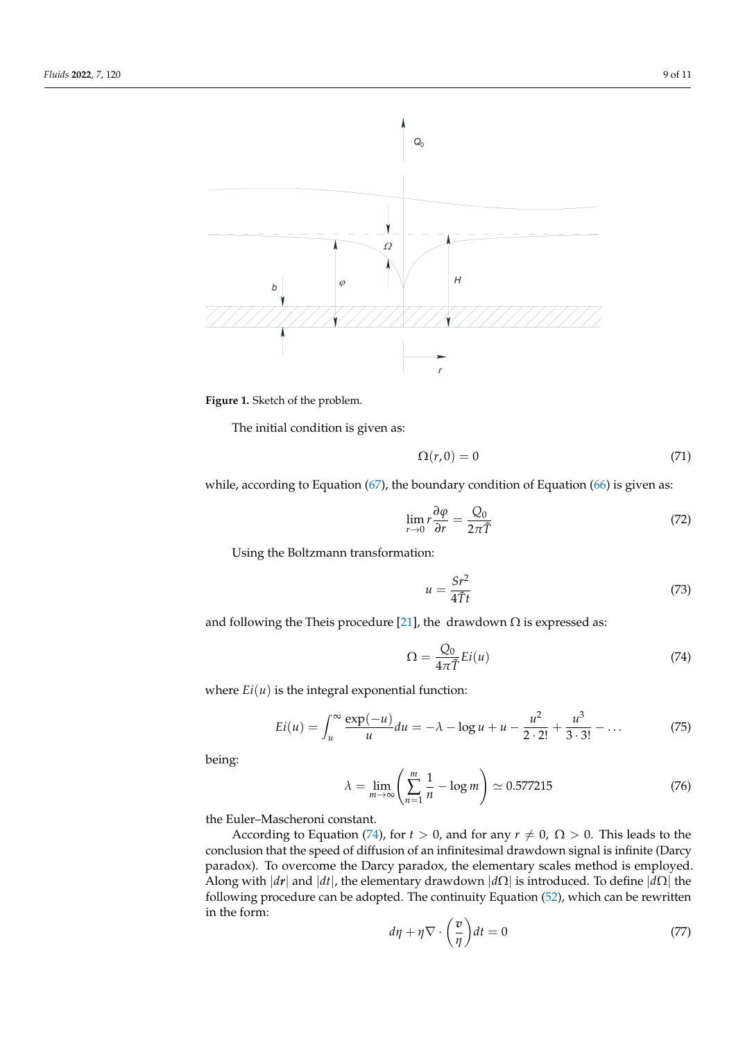<span id="page-8-0"></span>



The initial condition is given as:

$$
\Omega(r,0) = 0 \tag{71}
$$

while, according to Equation  $(67)$ , the boundary condition of Equation  $(66)$  is given as:

$$
\lim_{r \to 0} r \frac{\partial \varphi}{\partial r} = \frac{Q_0}{2\pi \tilde{T}} \tag{72}
$$

Using the Boltzmann transformation:

$$
u = \frac{Sr^2}{4\tilde{T}t} \tag{73}
$$

and following the Theis procedure [\[21\]](#page-10-15), the drawdown  $\Omega$  is expressed as:

<span id="page-8-1"></span>
$$
\Omega = \frac{Q_0}{4\pi \tilde{T}} Ei(u) \tag{74}
$$

where  $Ei(u)$  is the integral exponential function:

$$
Ei(u) = \int_{u}^{\infty} \frac{\exp(-u)}{u} du = -\lambda - \log u + u - \frac{u^2}{2 \cdot 2!} + \frac{u^3}{3 \cdot 3!} - \dots
$$
 (75)

being:

$$
\lambda = \lim_{m \to \infty} \left( \sum_{n=1}^{m} \frac{1}{n} - \log m \right) \simeq 0.577215 \tag{76}
$$

the Euler–Mascheroni constant.

According to Equation [\(74\)](#page-8-1), for  $t > 0$ , and for any  $r \neq 0$ ,  $\Omega > 0$ . This leads to the conclusion that the speed of diffusion of an infinitesimal drawdown signal is infinite (Darcy paradox). To overcome the Darcy paradox, the elementary scales method is employed. Along with |*dr*| and |*dt*|, the elementary drawdown |*d*Ω| is introduced. To define |*d*Ω| the following procedure can be adopted. The continuity Equation [\(52\)](#page-6-3), which can be rewritten in the form:

$$
d\eta + \eta \nabla \cdot \left(\frac{v}{\eta}\right) dt = 0 \tag{77}
$$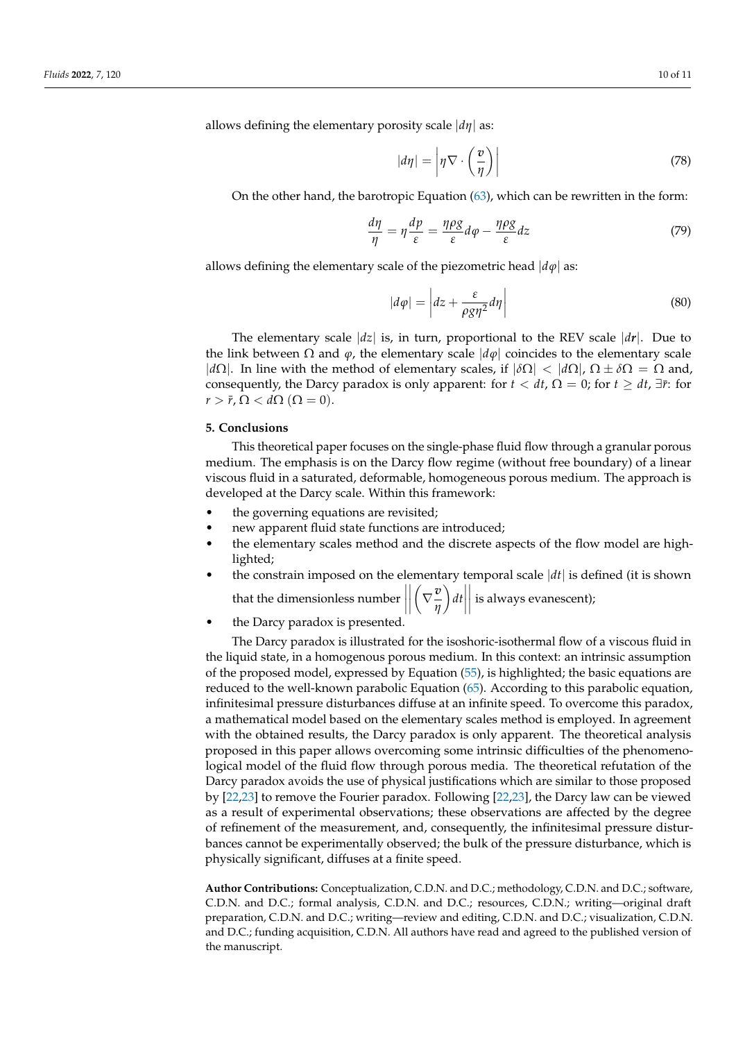allows defining the elementary porosity scale |*dη*| as:

$$
|d\eta| = \left|\eta \nabla \cdot \left(\frac{v}{\eta}\right)\right| \tag{78}
$$

On the other hand, the barotropic Equation [\(63\)](#page-7-1), which can be rewritten in the form:

$$
\frac{d\eta}{\eta} = \eta \frac{dp}{\varepsilon} = \frac{\eta \rho g}{\varepsilon} d\varphi - \frac{\eta \rho g}{\varepsilon} dz \tag{79}
$$

allows defining the elementary scale of the piezometric head  $|d\varphi|$  as:

$$
|d\varphi| = \left| dz + \frac{\varepsilon}{\rho g \eta^2} d\eta \right| \tag{80}
$$

The elementary scale  $|dz|$  is, in turn, proportional to the REV scale  $|dr|$ . Due to the link between  $\Omega$  and  $\varphi$ , the elementary scale  $|d\varphi|$  coincides to the elementary scale | $d\Omega$ . In line with the method of elementary scales, if  $|\delta\Omega| < |d\Omega|$ ,  $\Omega \pm \delta\Omega = \Omega$  and, consequently, the Darcy paradox is only apparent: for  $t < dt$ ,  $\Omega = 0$ ; for  $t \ge dt$ ,  $\exists \bar{r}$ : for  $r > \bar{r}$ ,  $\Omega < d\Omega$  ( $\Omega = 0$ ).

# <span id="page-9-0"></span>**5. Conclusions**

This theoretical paper focuses on the single-phase fluid flow through a granular porous medium. The emphasis is on the Darcy flow regime (without free boundary) of a linear viscous fluid in a saturated, deformable, homogeneous porous medium. The approach is developed at the Darcy scale. Within this framework:

- the governing equations are revisited;
- new apparent fluid state functions are introduced;
- the elementary scales method and the discrete aspects of the flow model are highlighted;
- the constrain imposed on the elementary temporal scale  $|dt|$  is defined (it is shown  $\left(\nabla \frac{v}{\alpha}\right)$

that the dimensionless number  $\begin{array}{c} \begin{array}{c} \begin{array}{c} \end{array} \\ \begin{array}{c} \end{array} \end{array} \end{array}$ *η*  $\left| \int dt \right|$  $\begin{array}{c} \hline \end{array}$ is always evanescent);

the Darcy paradox is presented.

The Darcy paradox is illustrated for the isoshoric-isothermal flow of a viscous fluid in the liquid state, in a homogenous porous medium. In this context: an intrinsic assumption of the proposed model, expressed by Equation [\(55\)](#page-6-5), is highlighted; the basic equations are reduced to the well-known parabolic Equation [\(65\)](#page-7-5). According to this parabolic equation, infinitesimal pressure disturbances diffuse at an infinite speed. To overcome this paradox, a mathematical model based on the elementary scales method is employed. In agreement with the obtained results, the Darcy paradox is only apparent. The theoretical analysis proposed in this paper allows overcoming some intrinsic difficulties of the phenomenological model of the fluid flow through porous media. The theoretical refutation of the Darcy paradox avoids the use of physical justifications which are similar to those proposed by [\[22,](#page-10-16)[23\]](#page-10-17) to remove the Fourier paradox. Following [\[22](#page-10-16)[,23\]](#page-10-17), the Darcy law can be viewed as a result of experimental observations; these observations are affected by the degree of refinement of the measurement, and, consequently, the infinitesimal pressure disturbances cannot be experimentally observed; the bulk of the pressure disturbance, which is physically significant, diffuses at a finite speed.

**Author Contributions:** Conceptualization, C.D.N. and D.C.; methodology, C.D.N. and D.C.; software, C.D.N. and D.C.; formal analysis, C.D.N. and D.C.; resources, C.D.N.; writing—original draft preparation, C.D.N. and D.C.; writing—review and editing, C.D.N. and D.C.; visualization, C.D.N. and D.C.; funding acquisition, C.D.N. All authors have read and agreed to the published version of the manuscript.